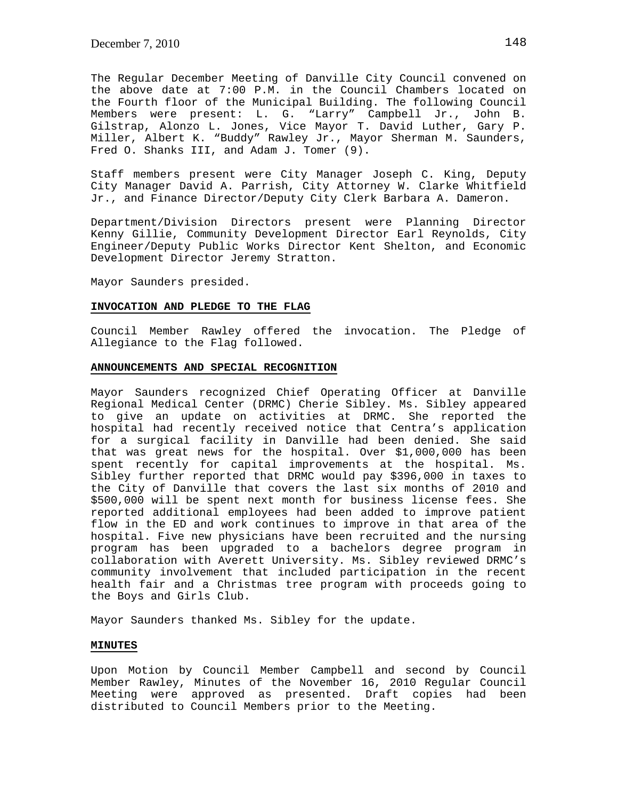The Regular December Meeting of Danville City Council convened on the above date at 7:00 P.M. in the Council Chambers located on the Fourth floor of the Municipal Building. The following Council Members were present: L. G. "Larry" Campbell Jr., John B. Gilstrap, Alonzo L. Jones, Vice Mayor T. David Luther, Gary P. Miller, Albert K. "Buddy" Rawley Jr., Mayor Sherman M. Saunders, Fred O. Shanks III, and Adam J. Tomer (9).

Staff members present were City Manager Joseph C. King, Deputy City Manager David A. Parrish, City Attorney W. Clarke Whitfield Jr., and Finance Director/Deputy City Clerk Barbara A. Dameron.

Department/Division Directors present were Planning Director Kenny Gillie, Community Development Director Earl Reynolds, City Engineer/Deputy Public Works Director Kent Shelton, and Economic Development Director Jeremy Stratton.

Mayor Saunders presided.

### **INVOCATION AND PLEDGE TO THE FLAG**

Council Member Rawley offered the invocation. The Pledge of Allegiance to the Flag followed.

## **ANNOUNCEMENTS AND SPECIAL RECOGNITION**

Mayor Saunders recognized Chief Operating Officer at Danville Regional Medical Center (DRMC) Cherie Sibley. Ms. Sibley appeared to give an update on activities at DRMC. She reported the hospital had recently received notice that Centra's application for a surgical facility in Danville had been denied. She said that was great news for the hospital. Over \$1,000,000 has been spent recently for capital improvements at the hospital. Ms. Sibley further reported that DRMC would pay \$396,000 in taxes to the City of Danville that covers the last six months of 2010 and \$500,000 will be spent next month for business license fees. She reported additional employees had been added to improve patient flow in the ED and work continues to improve in that area of the hospital. Five new physicians have been recruited and the nursing program has been upgraded to a bachelors degree program in collaboration with Averett University. Ms. Sibley reviewed DRMC's community involvement that included participation in the recent health fair and a Christmas tree program with proceeds going to the Boys and Girls Club.

Mayor Saunders thanked Ms. Sibley for the update.

# **MINUTES**

Upon Motion by Council Member Campbell and second by Council Member Rawley, Minutes of the November 16, 2010 Regular Council Meeting were approved as presented. Draft copies had been distributed to Council Members prior to the Meeting.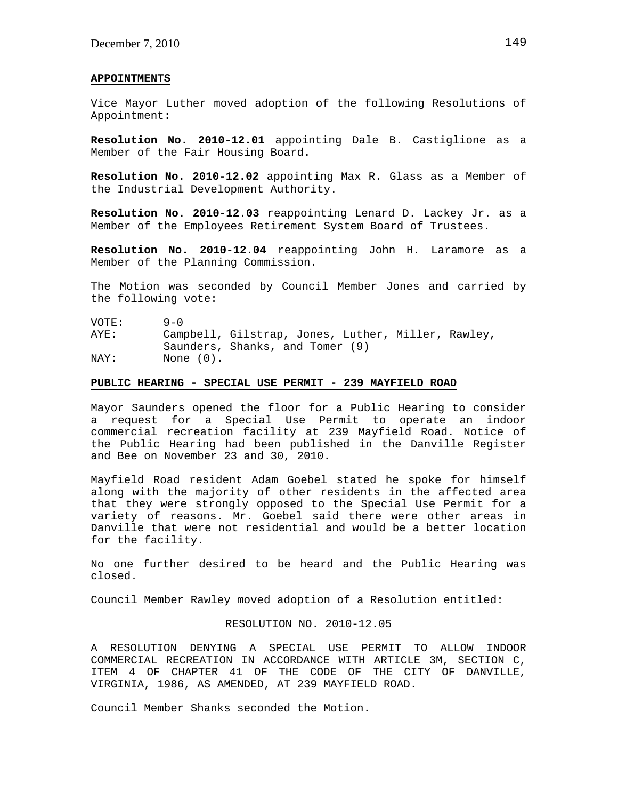#### **APPOINTMENTS**

Vice Mayor Luther moved adoption of the following Resolutions of Appointment:

**Resolution No. 2010-12.01** appointing Dale B. Castiglione as a Member of the Fair Housing Board.

**Resolution No. 2010-12.02** appointing Max R. Glass as a Member of the Industrial Development Authority.

**Resolution No. 2010-12.03** reappointing Lenard D. Lackey Jr. as a Member of the Employees Retirement System Board of Trustees.

**Resolution No. 2010-12.04** reappointing John H. Laramore as a Member of the Planning Commission.

The Motion was seconded by Council Member Jones and carried by the following vote:

VOTE: 9-0 AYE: Campbell, Gilstrap, Jones, Luther, Miller, Rawley, Saunders, Shanks, and Tomer (9) NAY: None  $(0)$ .

# **PUBLIC HEARING - SPECIAL USE PERMIT - 239 MAYFIELD ROAD**

Mayor Saunders opened the floor for a Public Hearing to consider a request for a Special Use Permit to operate an indoor commercial recreation facility at 239 Mayfield Road. Notice of the Public Hearing had been published in the Danville Register and Bee on November 23 and 30, 2010.

Mayfield Road resident Adam Goebel stated he spoke for himself along with the majority of other residents in the affected area that they were strongly opposed to the Special Use Permit for a variety of reasons. Mr. Goebel said there were other areas in Danville that were not residential and would be a better location for the facility.

No one further desired to be heard and the Public Hearing was closed.

Council Member Rawley moved adoption of a Resolution entitled:

# RESOLUTION NO. 2010-12.05

A RESOLUTION DENYING A SPECIAL USE PERMIT TO ALLOW INDOOR COMMERCIAL RECREATION IN ACCORDANCE WITH ARTICLE 3M, SECTION C, ITEM 4 OF CHAPTER 41 OF THE CODE OF THE CITY OF DANVILLE, VIRGINIA, 1986, AS AMENDED, AT 239 MAYFIELD ROAD.

Council Member Shanks seconded the Motion.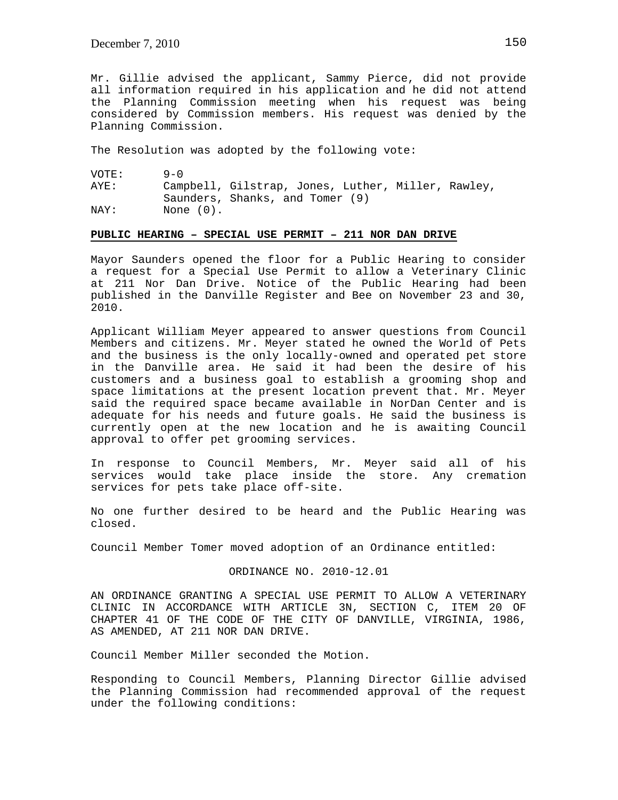Mr. Gillie advised the applicant, Sammy Pierce, did not provide all information required in his application and he did not attend the Planning Commission meeting when his request was being considered by Commission members. His request was denied by the Planning Commission.

The Resolution was adopted by the following vote:

| VOTE: | $9 - 0$                                            |
|-------|----------------------------------------------------|
| AYE:  | Campbell, Gilstrap, Jones, Luther, Miller, Rawley, |
|       | Saunders, Shanks, and Tomer (9)                    |
| NAY:  | None (0).                                          |

### **PUBLIC HEARING – SPECIAL USE PERMIT – 211 NOR DAN DRIVE**

Mayor Saunders opened the floor for a Public Hearing to consider a request for a Special Use Permit to allow a Veterinary Clinic at 211 Nor Dan Drive. Notice of the Public Hearing had been published in the Danville Register and Bee on November 23 and 30, 2010.

Applicant William Meyer appeared to answer questions from Council Members and citizens. Mr. Meyer stated he owned the World of Pets and the business is the only locally-owned and operated pet store in the Danville area. He said it had been the desire of his customers and a business goal to establish a grooming shop and space limitations at the present location prevent that. Mr. Meyer said the required space became available in NorDan Center and is adequate for his needs and future goals. He said the business is currently open at the new location and he is awaiting Council approval to offer pet grooming services.

In response to Council Members, Mr. Meyer said all of his services would take place inside the store. Any cremation services for pets take place off-site.

No one further desired to be heard and the Public Hearing was closed.

Council Member Tomer moved adoption of an Ordinance entitled:

### ORDINANCE NO. 2010-12.01

AN ORDINANCE GRANTING A SPECIAL USE PERMIT TO ALLOW A VETERINARY CLINIC IN ACCORDANCE WITH ARTICLE 3N, SECTION C, ITEM 20 OF CHAPTER 41 OF THE CODE OF THE CITY OF DANVILLE, VIRGINIA, 1986, AS AMENDED, AT 211 NOR DAN DRIVE.

Council Member Miller seconded the Motion.

Responding to Council Members, Planning Director Gillie advised the Planning Commission had recommended approval of the request under the following conditions: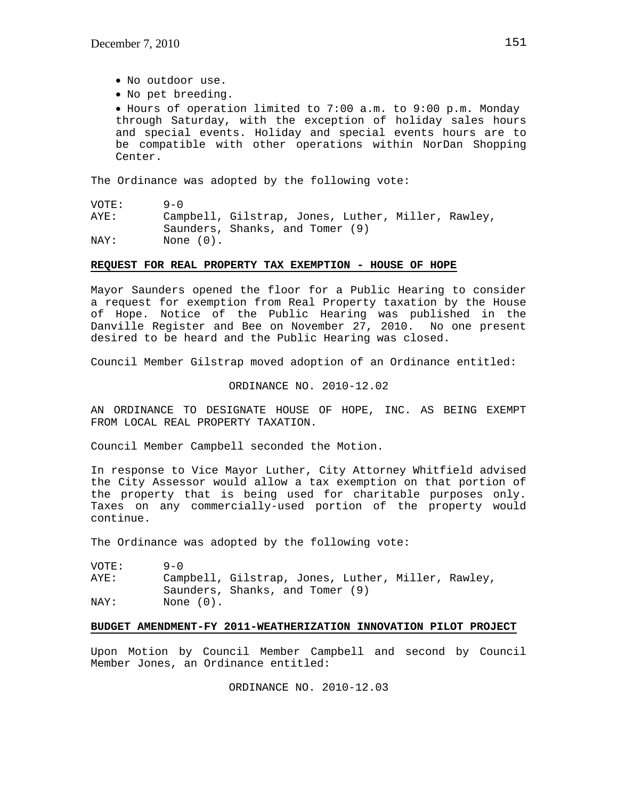- No outdoor use.
- No pet breeding.

 Hours of operation limited to 7:00 a.m. to 9:00 p.m. Monday through Saturday, with the exception of holiday sales hours and special events. Holiday and special events hours are to be compatible with other operations within NorDan Shopping Center.

The Ordinance was adopted by the following vote:

VOTE: 9-0

AYE: Campbell, Gilstrap, Jones, Luther, Miller, Rawley, Saunders, Shanks, and Tomer (9) NAY: None (0).

# **REQUEST FOR REAL PROPERTY TAX EXEMPTION - HOUSE OF HOPE**

Mayor Saunders opened the floor for a Public Hearing to consider a request for exemption from Real Property taxation by the House of Hope. Notice of the Public Hearing was published in the Danville Register and Bee on November 27, 2010. No one present desired to be heard and the Public Hearing was closed.

Council Member Gilstrap moved adoption of an Ordinance entitled:

# ORDINANCE NO. 2010-12.02

AN ORDINANCE TO DESIGNATE HOUSE OF HOPE, INC. AS BEING EXEMPT FROM LOCAL REAL PROPERTY TAXATION.

Council Member Campbell seconded the Motion.

In response to Vice Mayor Luther, City Attorney Whitfield advised the City Assessor would allow a tax exemption on that portion of the property that is being used for charitable purposes only. Taxes on any commercially-used portion of the property would continue.

The Ordinance was adopted by the following vote:

| VOTE: | $9 - 0$   |                                                                                       |
|-------|-----------|---------------------------------------------------------------------------------------|
| AYE:  |           | Campbell, Gilstrap, Jones, Luther, Miller, Rawley,<br>Saunders, Shanks, and Tomer (9) |
| NAY:  | None (0). |                                                                                       |

# **BUDGET AMENDMENT-FY 2011-WEATHERIZATION INNOVATION PILOT PROJECT**

Upon Motion by Council Member Campbell and second by Council Member Jones, an Ordinance entitled:

ORDINANCE NO. 2010-12.03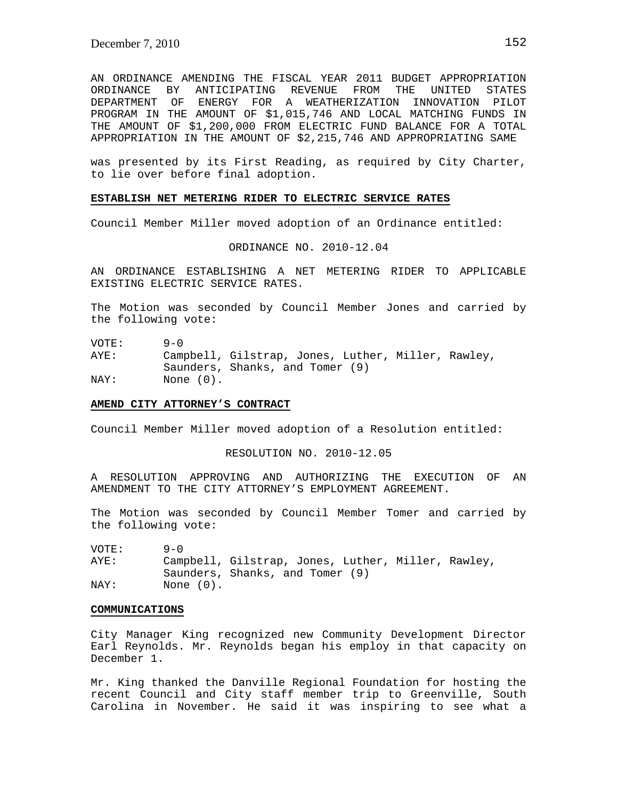AN ORDINANCE AMENDING THE FISCAL YEAR 2011 BUDGET APPROPRIATION ORDINANCE BY ANTICIPATING REVENUE FROM THE UNITED STATES DEPARTMENT OF ENERGY FOR A WEATHERIZATION INNOVATION PILOT PROGRAM IN THE AMOUNT OF \$1,015,746 AND LOCAL MATCHING FUNDS IN THE AMOUNT OF \$1,200,000 FROM ELECTRIC FUND BALANCE FOR A TOTAL APPROPRIATION IN THE AMOUNT OF \$2,215,746 AND APPROPRIATING SAME

was presented by its First Reading, as required by City Charter, to lie over before final adoption.

### **ESTABLISH NET METERING RIDER TO ELECTRIC SERVICE RATES**

Council Member Miller moved adoption of an Ordinance entitled:

ORDINANCE NO. 2010-12.04

AN ORDINANCE ESTABLISHING A NET METERING RIDER TO APPLICABLE EXISTING ELECTRIC SERVICE RATES.

The Motion was seconded by Council Member Jones and carried by the following vote:

VOTE: 9-0<br>AYE: Camp Campbell, Gilstrap, Jones, Luther, Miller, Rawley, Saunders, Shanks, and Tomer (9) NAY: None (0).

#### **AMEND CITY ATTORNEY'S CONTRACT**

Council Member Miller moved adoption of a Resolution entitled:

RESOLUTION NO. 2010-12.05

A RESOLUTION APPROVING AND AUTHORIZING THE EXECUTION OF AN AMENDMENT TO THE CITY ATTORNEY'S EMPLOYMENT AGREEMENT.

The Motion was seconded by Council Member Tomer and carried by the following vote:

VOTE: 9-0 AYE: Campbell, Gilstrap, Jones, Luther, Miller, Rawley, Saunders, Shanks, and Tomer (9) NAY: None (0).

#### **COMMUNICATIONS**

City Manager King recognized new Community Development Director Earl Reynolds. Mr. Reynolds began his employ in that capacity on December 1.

Mr. King thanked the Danville Regional Foundation for hosting the recent Council and City staff member trip to Greenville, South Carolina in November. He said it was inspiring to see what a